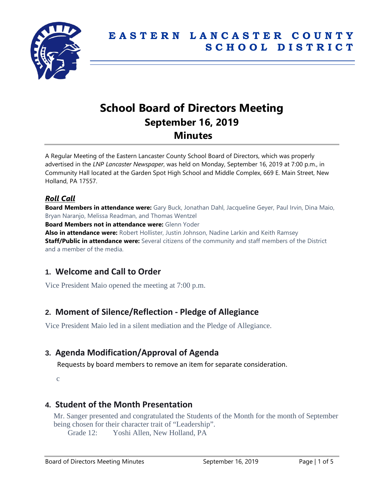

# **School Board of Directors Meeting September 16, 2019 Minutes**

A Regular Meeting of the Eastern Lancaster County School Board of Directors, which was properly advertised in the *LNP Lancaster Newspaper*, was held on Monday, September 16, 2019 at 7:00 p.m., in Community Hall located at the Garden Spot High School and Middle Complex, 669 E. Main Street, New Holland, PA 17557.

# *Roll Call*

**Board Members in attendance were:** Gary Buck, Jonathan Dahl, Jacqueline Geyer, Paul Irvin, Dina Maio, Bryan Naranjo, Melissa Readman, and Thomas Wentzel **Board Members not in attendance were:** Glenn Yoder **Also in attendance were:** Robert Hollister, Justin Johnson, Nadine Larkin and Keith Ramsey **Staff/Public in attendance were:** Several citizens of the community and staff members of the District and a member of the media.

# **1. Welcome and Call to Order**

Vice President Maio opened the meeting at 7:00 p.m.

# **2. Moment of Silence/Reflection - Pledge of Allegiance**

Vice President Maio led in a silent mediation and the Pledge of Allegiance.

# **3. Agenda Modification/Approval of Agenda**

Requests by board members to remove an item for separate consideration.

c

# **4. Student of the Month Presentation**

Mr. Sanger presented and congratulated the Students of the Month for the month of September being chosen for their character trait of "Leadership".

Grade 12: Yoshi Allen, New Holland, PA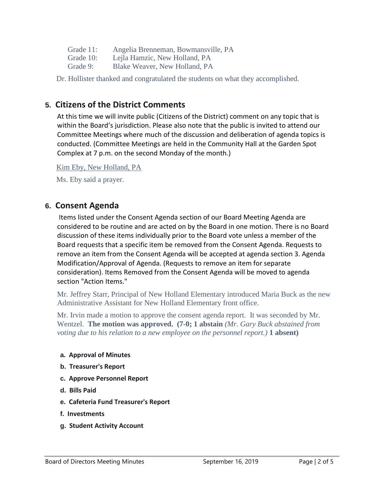| Grade 11: |  |  | Angelia Brenneman, Bowmansville, PA |  |
|-----------|--|--|-------------------------------------|--|
|-----------|--|--|-------------------------------------|--|

- Grade 10: Lejla Hamzic, New Holland, PA
- Grade 9: Blake Weaver, New Holland, PA

Dr. Hollister thanked and congratulated the students on what they accomplished.

# **5. Citizens of the District Comments**

At this time we will invite public (Citizens of the District) comment on any topic that is within the Board's jurisdiction. Please also note that the public is invited to attend our Committee Meetings where much of the discussion and deliberation of agenda topics is conducted. (Committee Meetings are held in the Community Hall at the Garden Spot Complex at 7 p.m. on the second Monday of the month.)

Kim Eby, New Holland, PA

Ms. Eby said a prayer.

## **6. Consent Agenda**

Items listed under the Consent Agenda section of our Board Meeting Agenda are considered to be routine and are acted on by the Board in one motion. There is no Board discussion of these items individually prior to the Board vote unless a member of the Board requests that a specific item be removed from the Consent Agenda. Requests to remove an item from the Consent Agenda will be accepted at agenda section 3. Agenda Modification/Approval of Agenda. (Requests to remove an item for separate consideration). Items Removed from the Consent Agenda will be moved to agenda section "Action Items."

Mr. Jeffrey Starr, Principal of New Holland Elementary introduced Maria Buck as the new Administrative Assistant for New Holland Elementary front office.

Mr. Irvin made a motion to approve the consent agenda report. It was seconded by Mr. Wentzel. **The motion was approved. (7-0; 1 abstain** *(Mr. Gary Buck abstained from voting due to his relation to a new employee on the personnel report.)* **1 absent)**

#### **a. Approval of Minutes**

- **b. Treasurer's Report**
- **c. Approve Personnel Report**
- **d. Bills Paid**
- **e. Cafeteria Fund Treasurer's Report**
- **f. Investments**
- **g. Student Activity Account**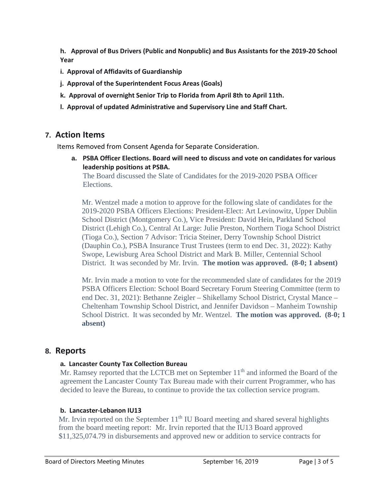**h. Approval of Bus Drivers (Public and Nonpublic) and Bus Assistants for the 2019-20 School Year**

- **i. Approval of Affidavits of Guardianship**
- **j. Approval of the Superintendent Focus Areas (Goals)**
- **k. Approval of overnight Senior Trip to Florida from April 8th to April 11th.**
- **l. Approval of updated Administrative and Supervisory Line and Staff Chart.**

## **7. Action Items**

Items Removed from Consent Agenda for Separate Consideration.

**a. PSBA Officer Elections. Board will need to discuss and vote on candidates for various leadership positions at PSBA.**

The Board discussed the Slate of Candidates for the 2019-2020 PSBA Officer Elections.

Mr. Wentzel made a motion to approve for the following slate of candidates for the 2019-2020 PSBA Officers Elections: President-Elect: Art Levinowitz, Upper Dublin School District (Montgomery Co.), Vice President: David Hein, Parkland School District (Lehigh Co.), Central At Large: Julie Preston, Northern Tioga School District (Tioga Co.), Section 7 Advisor: Tricia Steiner, Derry Township School District (Dauphin Co.), PSBA Insurance Trust Trustees (term to end Dec. 31, 2022): Kathy Swope, Lewisburg Area School District and Mark B. Miller, Centennial School District. It was seconded by Mr. Irvin. **The motion was approved. (8-0; 1 absent)**

Mr. Irvin made a motion to vote for the recommended slate of candidates for the 2019 PSBA Officers Election: School Board Secretary Forum Steering Committee (term to end Dec. 31, 2021): Bethanne Zeigler – Shikellamy School District, Crystal Mance – Cheltenham Township School District, and Jennifer Davidson – Manheim Township School District. It was seconded by Mr. Wentzel. **The motion was approved. (8-0; 1 absent)**

## **8. Reports**

#### **a. Lancaster County Tax Collection Bureau**

Mr. Ramsey reported that the LCTCB met on September  $11<sup>th</sup>$  and informed the Board of the agreement the Lancaster County Tax Bureau made with their current Programmer, who has decided to leave the Bureau, to continue to provide the tax collection service program.

#### **b. Lancaster-Lebanon IU13**

Mr. Irvin reported on the September  $11<sup>th</sup>$  IU Board meeting and shared several highlights from the board meeting report: Mr. Irvin reported that the IU13 Board approved \$11,325,074.79 in disbursements and approved new or addition to service contracts for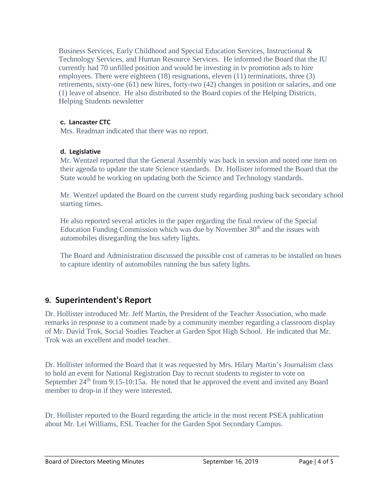Business Services, Early Childhood and Special Education Services, Instructional & Technology Services, and Human Resource Services. He informed the Board that the IU currently had 70 unfilled position and would be investing in tv promotion ads to hire employees. There were eighteen (18) resignations, eleven (11) terminations, three (3) retirements, sixty-one (61) new hires, forty-two (42) changes in position or salaries, and one (1) leave of absence. He also distributed to the Board copies of the Helping Districts, Helping Students newsletter

## **c. Lancaster CTC**

Mrs. Readman indicated that there was no report.

## **d. Legislative**

Mr. Wentzel reported that the General Assembly was back in session and noted one item on their agenda to update the state Science standards. Dr. Hollister informed the Board that the State would be working on updating both the Science and Technology standards.

Mr. Wentzel updated the Board on the current study regarding pushing back secondary school starting times.

He also reported several articles in the paper regarding the final review of the Special Education Funding Commission which was due by November  $30<sup>th</sup>$  and the issues with automobiles disregarding the bus safety lights.

The Board and Administration discussed the possible cost of cameras to be installed on buses to capture identity of automobiles running the bus safety lights.

# **9. Superintendent's Report**

Dr. Hollister introduced Mr. Jeff Martin, the President of the Teacher Association, who made remarks in response to a comment made by a community member regarding a classroom display of Mr. David Trok, Social Studies Teacher at Garden Spot High School. He indicated that Mr. Trok was an excellent and model teacher.

Dr. Hollister informed the Board that it was requested by Mrs. Hilary Martin's Journalism class to hold an event for National Registration Day to recruit students to register to vote on September 24<sup>th</sup> from 9:15-10:15a. He noted that he approved the event and invited any Board member to drop-in if they were interested.

Dr. Hollister reported to the Board regarding the article in the most recent PSEA publication about Mr. Lei Williams, ESL Teacher for the Garden Spot Secondary Campus.